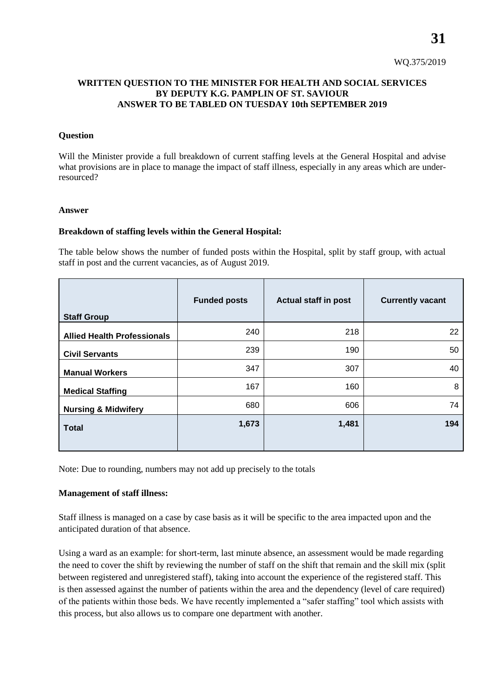# **WRITTEN QUESTION TO THE MINISTER FOR HEALTH AND SOCIAL SERVICES BY DEPUTY K.G. PAMPLIN OF ST. SAVIOUR ANSWER TO BE TABLED ON TUESDAY 10th SEPTEMBER 2019**

### **Question**

Will the Minister provide a full breakdown of current staffing levels at the General Hospital and advise what provisions are in place to manage the impact of staff illness, especially in any areas which are underresourced?

### **Answer**

### **Breakdown of staffing levels within the General Hospital:**

The table below shows the number of funded posts within the Hospital, split by staff group, with actual staff in post and the current vacancies, as of August 2019.

| <b>Staff Group</b>                 | <b>Funded posts</b> | <b>Actual staff in post</b> | <b>Currently vacant</b> |
|------------------------------------|---------------------|-----------------------------|-------------------------|
| <b>Allied Health Professionals</b> | 240                 | 218                         | 22                      |
| <b>Civil Servants</b>              | 239                 | 190                         | 50                      |
| <b>Manual Workers</b>              | 347                 | 307                         | 40                      |
| <b>Medical Staffing</b>            | 167                 | 160                         | 8                       |
| <b>Nursing &amp; Midwifery</b>     | 680                 | 606                         | 74                      |
| <b>Total</b>                       | 1,673               | 1,481                       | 194                     |

Note: Due to rounding, numbers may not add up precisely to the totals

## **Management of staff illness:**

Staff illness is managed on a case by case basis as it will be specific to the area impacted upon and the anticipated duration of that absence.

Using a ward as an example: for short-term, last minute absence, an assessment would be made regarding the need to cover the shift by reviewing the number of staff on the shift that remain and the skill mix (split between registered and unregistered staff), taking into account the experience of the registered staff. This is then assessed against the number of patients within the area and the dependency (level of care required) of the patients within those beds. We have recently implemented a "safer staffing" tool which assists with this process, but also allows us to compare one department with another.